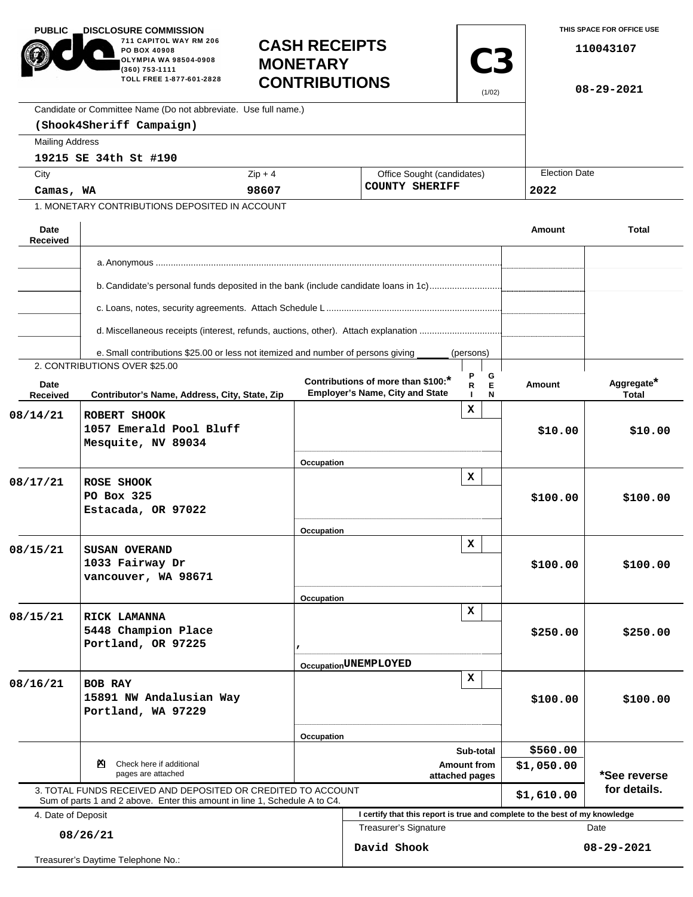| <b>PUBLIC</b><br><b>.DISCLOSURE COMMISSION</b><br>711 CAPITOL WAY RM 206<br>PO BOX 40908<br>OLYMPIA WA 98504-0908<br>(360) 753-1111<br>TOLL FREE 1-877-601-2828<br>Candidate or Committee Name (Do not abbreviate. Use full name.)<br>(Shook4Sheriff Campaign) |                                                                                                                   | <b>MONETARY</b> | <b>CASH RECEIPTS</b><br><b>C3</b><br><b>CONTRIBUTIONS</b><br>(1/02)         |                                                     |                      | THIS SPACE FOR OFFICE USE<br>110043107<br>$08 - 29 - 2021$ |  |
|----------------------------------------------------------------------------------------------------------------------------------------------------------------------------------------------------------------------------------------------------------------|-------------------------------------------------------------------------------------------------------------------|-----------------|-----------------------------------------------------------------------------|-----------------------------------------------------|----------------------|------------------------------------------------------------|--|
| <b>Mailing Address</b>                                                                                                                                                                                                                                         |                                                                                                                   |                 |                                                                             |                                                     |                      |                                                            |  |
| City                                                                                                                                                                                                                                                           | 19215 SE 34th St #190                                                                                             | $Zip + 4$       |                                                                             |                                                     | <b>Election Date</b> |                                                            |  |
|                                                                                                                                                                                                                                                                |                                                                                                                   | 98607           |                                                                             | Office Sought (candidates)<br><b>COUNTY SHERIFF</b> |                      |                                                            |  |
| Camas, WA<br>1. MONETARY CONTRIBUTIONS DEPOSITED IN ACCOUNT                                                                                                                                                                                                    |                                                                                                                   |                 |                                                                             |                                                     | 2022                 |                                                            |  |
|                                                                                                                                                                                                                                                                |                                                                                                                   |                 |                                                                             |                                                     |                      |                                                            |  |
| Date<br>Received                                                                                                                                                                                                                                               |                                                                                                                   |                 |                                                                             |                                                     | <b>Amount</b>        | <b>Total</b>                                               |  |
|                                                                                                                                                                                                                                                                |                                                                                                                   |                 |                                                                             |                                                     |                      |                                                            |  |
|                                                                                                                                                                                                                                                                |                                                                                                                   |                 |                                                                             |                                                     |                      |                                                            |  |
|                                                                                                                                                                                                                                                                | b. Candidate's personal funds deposited in the bank (include candidate loans in 1c)                               |                 |                                                                             |                                                     |                      |                                                            |  |
|                                                                                                                                                                                                                                                                |                                                                                                                   |                 |                                                                             |                                                     |                      |                                                            |  |
|                                                                                                                                                                                                                                                                | d. Miscellaneous receipts (interest, refunds, auctions, other). Attach explanation                                |                 |                                                                             |                                                     |                      |                                                            |  |
|                                                                                                                                                                                                                                                                |                                                                                                                   |                 |                                                                             |                                                     |                      |                                                            |  |
|                                                                                                                                                                                                                                                                | e. Small contributions \$25.00 or less not itemized and number of persons giving<br>2. CONTRIBUTIONS OVER \$25.00 |                 |                                                                             | (persons)                                           |                      |                                                            |  |
| Date                                                                                                                                                                                                                                                           |                                                                                                                   |                 | Contributions of more than \$100:*                                          | P<br>G<br>E<br>R                                    | <b>Amount</b>        | Aggregate*                                                 |  |
| Received                                                                                                                                                                                                                                                       | Contributor's Name, Address, City, State, Zip                                                                     |                 | <b>Employer's Name, City and State</b>                                      | N                                                   |                      | <b>Total</b>                                               |  |
| 08/14/21                                                                                                                                                                                                                                                       | ROBERT SHOOK<br>1057 Emerald Pool Bluff<br>Mesquite, NV 89034                                                     |                 |                                                                             | x                                                   | \$10.00              | \$10.00                                                    |  |
|                                                                                                                                                                                                                                                                |                                                                                                                   | Occupation      |                                                                             |                                                     |                      |                                                            |  |
| 08/17/21                                                                                                                                                                                                                                                       | ROSE SHOOK<br>PO Box 325<br>Estacada, OR 97022                                                                    | Occupation      |                                                                             | x                                                   | \$100.00             | \$100.00                                                   |  |
|                                                                                                                                                                                                                                                                |                                                                                                                   |                 |                                                                             | x                                                   |                      |                                                            |  |
| 08/15/21                                                                                                                                                                                                                                                       | <b>SUSAN OVERAND</b><br>1033 Fairway Dr<br>vancouver, WA 98671                                                    |                 |                                                                             |                                                     | \$100.00             | \$100.00                                                   |  |
|                                                                                                                                                                                                                                                                |                                                                                                                   | Occupation      |                                                                             |                                                     |                      |                                                            |  |
| 08/15/21                                                                                                                                                                                                                                                       | RICK LAMANNA<br>5448 Champion Place<br>Portland, OR 97225                                                         |                 |                                                                             | x                                                   | \$250.00             | \$250.00                                                   |  |
|                                                                                                                                                                                                                                                                |                                                                                                                   |                 | Occupation UNEMPLOYED                                                       |                                                     |                      |                                                            |  |
| 08/16/21                                                                                                                                                                                                                                                       | <b>BOB RAY</b><br>15891 NW Andalusian Way<br>Portland, WA 97229                                                   |                 |                                                                             | $\mathbf x$                                         | \$100.00             | \$100.00                                                   |  |
|                                                                                                                                                                                                                                                                |                                                                                                                   | Occupation      |                                                                             | Sub-total                                           | \$560.00             |                                                            |  |
| Check here if additional<br>ॺ                                                                                                                                                                                                                                  |                                                                                                                   |                 | <b>Amount from</b>                                                          |                                                     |                      |                                                            |  |
| pages are attached<br>3. TOTAL FUNDS RECEIVED AND DEPOSITED OR CREDITED TO ACCOUNT<br>Sum of parts 1 and 2 above. Enter this amount in line 1, Schedule A to C4.                                                                                               |                                                                                                                   |                 | attached pages                                                              |                                                     |                      | \$1,050.00<br>*See reverse<br>for details.<br>\$1,610.00   |  |
| 4. Date of Deposit                                                                                                                                                                                                                                             |                                                                                                                   |                 | I certify that this report is true and complete to the best of my knowledge |                                                     |                      |                                                            |  |
| 08/26/21                                                                                                                                                                                                                                                       |                                                                                                                   |                 | Treasurer's Signature                                                       |                                                     |                      | Date                                                       |  |
| Treasurer's Daytime Telephone No.:                                                                                                                                                                                                                             |                                                                                                                   |                 | David Shook                                                                 |                                                     |                      | $08 - 29 - 2021$                                           |  |